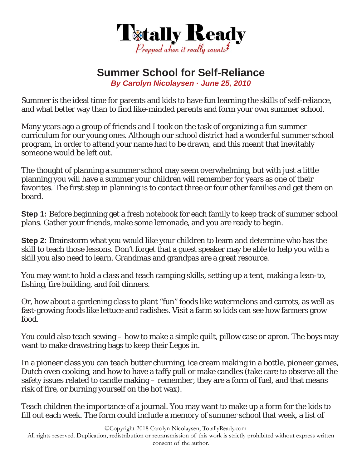

## **Summer School for Self-Reliance**

*By Carolyn Nicolaysen · June 25, 2010* 

Summer is the ideal time for parents and kids to have fun learning the skills of self-reliance, and what better way than to find like-minded parents and form your own summer school.

Many years ago a group of friends and I took on the task of organizing a fun summer curriculum for our young ones. Although our school district had a wonderful summer school program, in order to attend your name had to be drawn, and this meant that inevitably someone would be left out.

The thought of planning a summer school may seem overwhelming, but with just a little planning you will have a summer your children will remember for years as one of their favorites. The first step in planning is to contact three or four other families and get them on board.

**Step 1:** Before beginning get a fresh notebook for each family to keep track of summer school plans. Gather your friends, make some lemonade, and you are ready to begin.

**Step 2:** Brainstorm what you would like your children to learn and determine who has the skill to teach those lessons. Don't forget that a guest speaker may be able to help you with a skill you also need to learn. Grandmas and grandpas are a great resource.

You may want to hold a class and teach camping skills, setting up a tent, making a lean-to, fishing, fire building, and foil dinners.

Or, how about a gardening class to plant "fun" foods like watermelons and carrots, as well as fast-growing foods like lettuce and radishes. Visit a farm so kids can see how farmers grow food.

You could also teach sewing – how to make a simple quilt, pillow case or apron. The boys may want to make drawstring bags to keep their Legos in.

In a pioneer class you can teach butter churning, ice cream making in a bottle, pioneer games, Dutch oven cooking, and how to have a taffy pull or make candles (take care to observe all the safety issues related to candle making – remember, they are a form of fuel, and that means risk of fire, or burning yourself on the hot wax).

Teach children the importance of a journal. You may want to make up a form for the kids to fill out each week. The form could include a memory of summer school that week, a list of

©Copyright 2018 Carolyn Nicolaysen, TotallyReady.com

All rights reserved. Duplication, redistribution or retransmission of this work is strictly prohibited without express written consent of the author.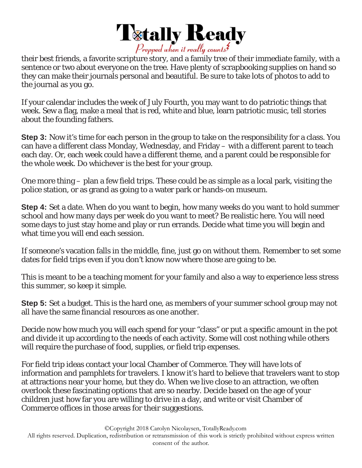

their best friends, a favorite scripture story, and a family tree of their immediate family, with a sentence or two about everyone on the tree. Have plenty of scrapbooking supplies on hand so they can make their journals personal and beautiful. Be sure to take lots of photos to add to the journal as you go.

If your calendar includes the week of July Fourth, you may want to do patriotic things that week. Sew a flag, make a meal that is red, white and blue, learn patriotic music, tell stories about the founding fathers.

**Step 3:** Now it's time for each person in the group to take on the responsibility for a class. You can have a different class Monday, Wednesday, and Friday – with a different parent to teach each day. Or, each week could have a different theme, and a parent could be responsible for the whole week. Do whichever is the best for your group.

One more thing – plan a few field trips. These could be as simple as a local park, visiting the police station, or as grand as going to a water park or hands-on museum.

**Step 4:** Set a date. When do you want to begin, how many weeks do you want to hold summer school and how many days per week do you want to meet? Be realistic here. You will need some days to just stay home and play or run errands. Decide what time you will begin and what time you will end each session.

If someone's vacation falls in the middle, fine, just go on without them. Remember to set some dates for field trips even if you don't know now where those are going to be.

This is meant to be a teaching moment for your family and also a way to experience less stress this summer, so keep it simple.

**Step 5:** Set a budget. This is the hard one, as members of your summer school group may not all have the same financial resources as one another.

Decide now how much you will each spend for your "class" or put a specific amount in the pot and divide it up according to the needs of each activity. Some will cost nothing while others will require the purchase of food, supplies, or field trip expenses.

For field trip ideas contact your local Chamber of Commerce. They will have lots of information and pamphlets for travelers. I know it's hard to believe that travelers want to stop at attractions near your home, but they do. When we live close to an attraction, we often overlook these fascinating options that are so nearby. Decide based on the age of your children just how far you are willing to drive in a day, and write or visit Chamber of Commerce offices in those areas for their suggestions.